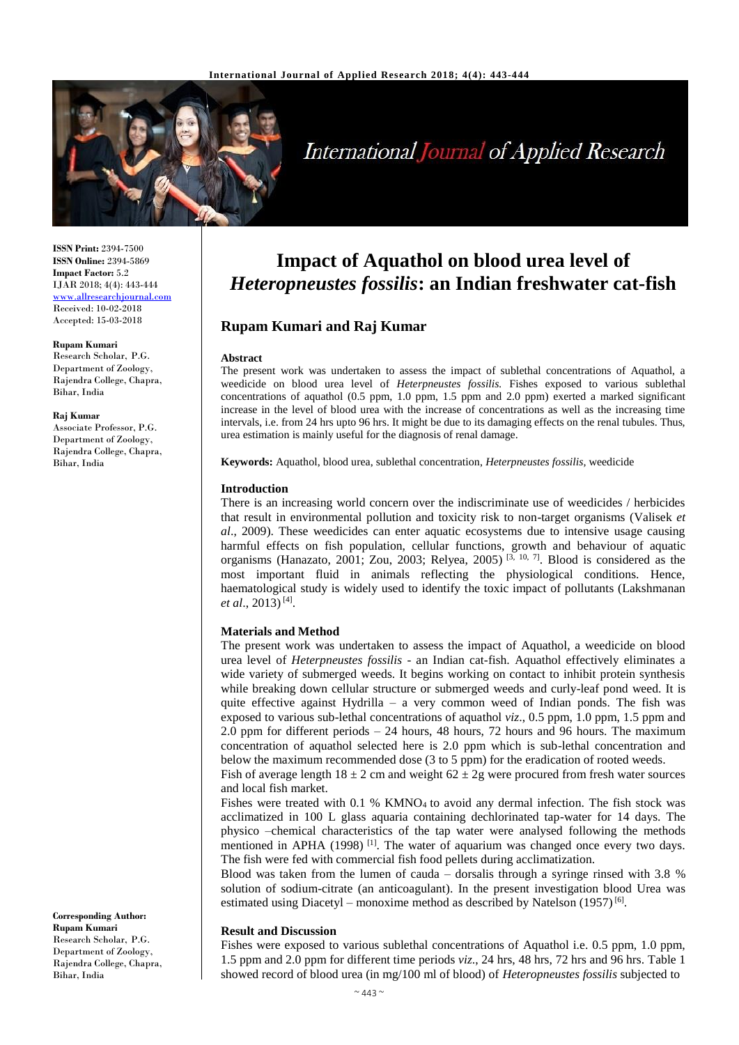

# **International Journal of Applied Research**

**ISSN Print:** 2394-7500 **ISSN Online:** 2394-5869 **Impact Factor:** 5.2 IJAR 2018; 4(4): 443-444 <www.allresearchjournal.com> Received: 10-02-2018 Accepted: 15-03-2018

#### **Rupam Kumari**

Research Scholar, P.G. Department of Zoology, Rajendra College, Chapra, Bihar, India

#### **Raj Kumar**

Associate Professor, P.G. Department of Zoology, Rajendra College, Chapra, Bihar, India

#### **Corresponding Author: Rupam Kumari**  Research Scholar, P.G. Department of Zoology, Rajendra College, Chapra, Bihar, India

## **Impact of Aquathol on blood urea level of**  *Heteropneustes fossilis***: an Indian freshwater cat-fish**

## **Rupam Kumari and Raj Kumar**

#### **Abstract**

The present work was undertaken to assess the impact of sublethal concentrations of Aquathol, a weedicide on blood urea level of *Heterpneustes fossilis.* Fishes exposed to various sublethal concentrations of aquathol (0.5 ppm, 1.0 ppm, 1.5 ppm and 2.0 ppm) exerted a marked significant increase in the level of blood urea with the increase of concentrations as well as the increasing time intervals, i.e. from 24 hrs upto 96 hrs. It might be due to its damaging effects on the renal tubules. Thus, urea estimation is mainly useful for the diagnosis of renal damage.

**Keywords:** Aquathol, blood urea, sublethal concentration, *Heterpneustes fossilis,* weedicide

#### **Introduction**

There is an increasing world concern over the indiscriminate use of weedicides / herbicides that result in environmental pollution and toxicity risk to non-target organisms (Valisek *et al*., 2009). These weedicides can enter aquatic ecosystems due to intensive usage causing harmful effects on fish population, cellular functions, growth and behaviour of aquatic organisms (Hanazato, 2001; Zou, 2003; Relyea, 2005)<sup>[3, 10, 7]</sup>. Blood is considered as the most important fluid in animals reflecting the physiological conditions. Hence, haematological study is widely used to identify the toxic impact of pollutants (Lakshmanan *et al*., 2013) [4] .

#### **Materials and Method**

The present work was undertaken to assess the impact of Aquathol, a weedicide on blood urea level of *Heterpneustes fossilis* - an Indian cat-fish. Aquathol effectively eliminates a wide variety of submerged weeds. It begins working on contact to inhibit protein synthesis while breaking down cellular structure or submerged weeds and curly-leaf pond weed. It is quite effective against Hydrilla – a very common weed of Indian ponds. The fish was exposed to various sub-lethal concentrations of aquathol *viz*., 0.5 ppm, 1.0 ppm, 1.5 ppm and 2.0 ppm for different periods  $-24$  hours, 48 hours, 72 hours and 96 hours. The maximum concentration of aquathol selected here is 2.0 ppm which is sub-lethal concentration and below the maximum recommended dose (3 to 5 ppm) for the eradication of rooted weeds.

Fish of average length  $18 \pm 2$  cm and weight  $62 \pm 2$ g were procured from fresh water sources and local fish market.

Fishes were treated with  $0.1$  % KMNO<sub>4</sub> to avoid any dermal infection. The fish stock was acclimatized in 100 L glass aquaria containing dechlorinated tap-water for 14 days. The physico –chemical characteristics of the tap water were analysed following the methods mentioned in APHA (1998)<sup>[1]</sup>. The water of aquarium was changed once every two days. The fish were fed with commercial fish food pellets during acclimatization.

Blood was taken from the lumen of cauda – dorsalis through a syringe rinsed with 3.8 % solution of sodium-citrate (an anticoagulant). In the present investigation blood Urea was estimated using Diacetyl – monoxime method as described by Natelson  $(1957)^{[6]}$ .

### **Result and Discussion**

Fishes were exposed to various sublethal concentrations of Aquathol i.e. 0.5 ppm, 1.0 ppm, 1.5 ppm and 2.0 ppm for different time periods *viz*., 24 hrs, 48 hrs, 72 hrs and 96 hrs. Table 1 showed record of blood urea (in mg/100 ml of blood) of *Heteropneustes fossilis* subjected to